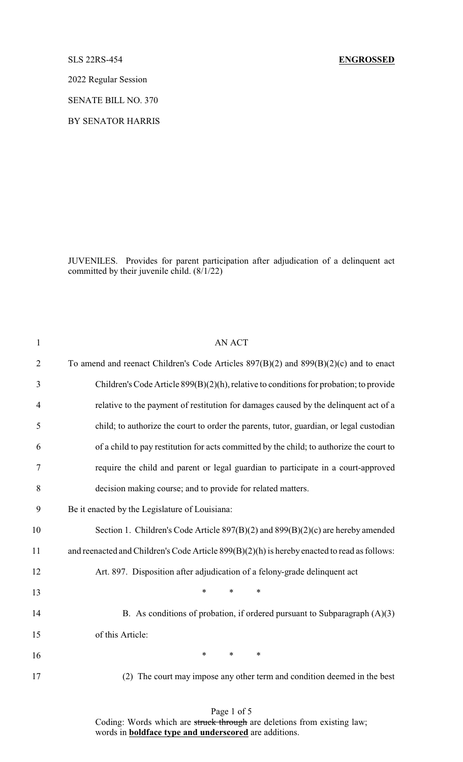# SLS 22RS-454 **ENGROSSED**

2022 Regular Session

SENATE BILL NO. 370

BY SENATOR HARRIS

JUVENILES. Provides for parent participation after adjudication of a delinquent act committed by their juvenile child. (8/1/22)

| $\mathbf{1}$   | <b>AN ACT</b>                                                                                |
|----------------|----------------------------------------------------------------------------------------------|
| $\overline{2}$ | To amend and reenact Children's Code Articles $897(B)(2)$ and $899(B)(2)(c)$ and to enact    |
| 3              | Children's Code Article 899(B)(2)(h), relative to conditions for probation; to provide       |
| $\overline{4}$ | relative to the payment of restitution for damages caused by the delinquent act of a         |
| 5              | child; to authorize the court to order the parents, tutor, guardian, or legal custodian      |
| 6              | of a child to pay restitution for acts committed by the child; to authorize the court to     |
| $\tau$         | require the child and parent or legal guardian to participate in a court-approved            |
| 8              | decision making course; and to provide for related matters.                                  |
| 9              | Be it enacted by the Legislature of Louisiana:                                               |
| 10             | Section 1. Children's Code Article 897(B)(2) and 899(B)(2)(c) are hereby amended             |
| 11             | and reenacted and Children's Code Article 899(B)(2)(h) is hereby enacted to read as follows: |
| 12             | Art. 897. Disposition after adjudication of a felony-grade delinquent act                    |
| 13             | *<br>$\ast$<br>∗                                                                             |
| 14             | B. As conditions of probation, if ordered pursuant to Subparagraph $(A)(3)$                  |
| 15             | of this Article:                                                                             |
| 16             | $\ast$<br>$\ast$<br>$\ast$                                                                   |
| 17             | The court may impose any other term and condition deemed in the best<br>(2)                  |
|                |                                                                                              |

Page 1 of 5

Coding: Words which are struck through are deletions from existing law; words in **boldface type and underscored** are additions.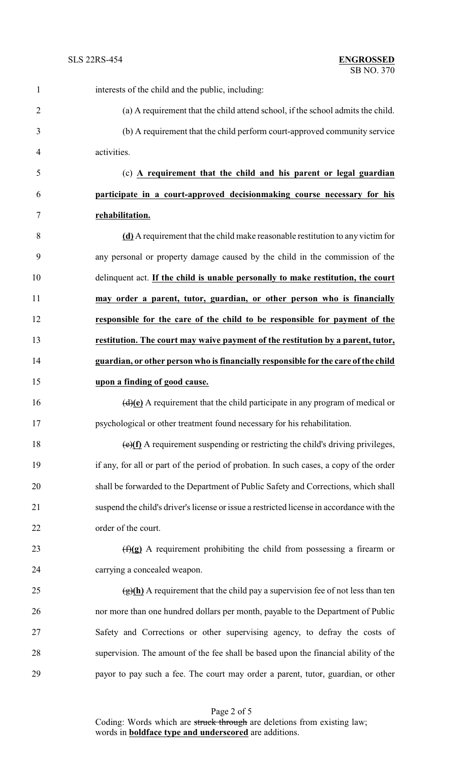| $\mathbf{1}$   | interests of the child and the public, including:                                           |
|----------------|---------------------------------------------------------------------------------------------|
| $\overline{2}$ | (a) A requirement that the child attend school, if the school admits the child.             |
| 3              | (b) A requirement that the child perform court-approved community service                   |
| 4              | activities.                                                                                 |
| 5              | (c) A requirement that the child and his parent or legal guardian                           |
| 6              | participate in a court-approved decisionmaking course necessary for his                     |
| 7              | rehabilitation.                                                                             |
| 8              | (d) A requirement that the child make reasonable restitution to any victim for              |
| 9              | any personal or property damage caused by the child in the commission of the                |
| 10             | delinquent act. If the child is unable personally to make restitution, the court            |
| 11             | may order a parent, tutor, guardian, or other person who is financially                     |
| 12             | responsible for the care of the child to be responsible for payment of the                  |
| 13             | restitution. The court may waive payment of the restitution by a parent, tutor,             |
| 14             | guardian, or other person who is financially responsible for the care of the child          |
| 15             | upon a finding of good cause.                                                               |
| 16             | $\overline{(d)(e)}$ A requirement that the child participate in any program of medical or   |
| 17             | psychological or other treatment found necessary for his rehabilitation.                    |
| 18             | $\overline{(e)(f)}$ A requirement suspending or restricting the child's driving privileges, |
| 19             | if any, for all or part of the period of probation. In such cases, a copy of the order      |
| 20             | shall be forwarded to the Department of Public Safety and Corrections, which shall          |
| 21             | suspend the child's driver's license or issue a restricted license in accordance with the   |
| 22             | order of the court.                                                                         |
| 23             | $(f)(g)$ A requirement prohibiting the child from possessing a firearm or                   |
| 24             | carrying a concealed weapon.                                                                |
| 25             | $\frac{f(x)(h)}{h}$ A requirement that the child pay a supervision fee of not less than ten |
| 26             | nor more than one hundred dollars per month, payable to the Department of Public            |
| 27             | Safety and Corrections or other supervising agency, to defray the costs of                  |
| 28             | supervision. The amount of the fee shall be based upon the financial ability of the         |
| 29             | payor to pay such a fee. The court may order a parent, tutor, guardian, or other            |
|                |                                                                                             |

Page 2 of 5 Coding: Words which are struck through are deletions from existing law; words in **boldface type and underscored** are additions.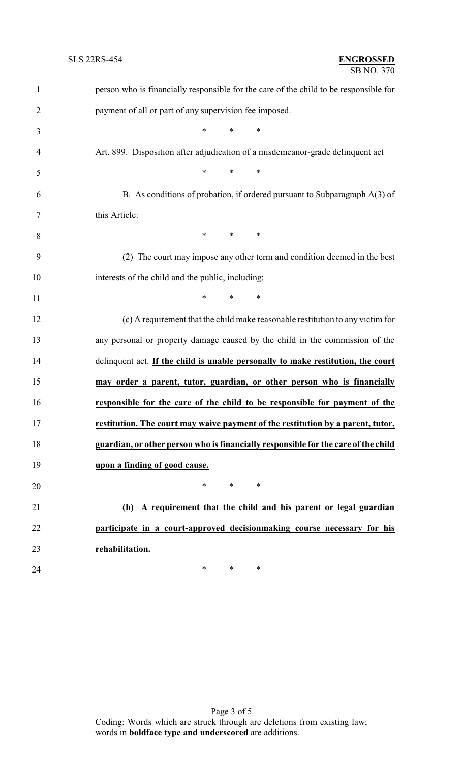| $\mathbf{1}$   | person who is financially responsible for the care of the child to be responsible for |
|----------------|---------------------------------------------------------------------------------------|
| $\overline{2}$ | payment of all or part of any supervision fee imposed.                                |
| 3              | $*$ $*$<br>$*$<br>$\ast$                                                              |
| $\overline{4}$ | Art. 899. Disposition after adjudication of a misdemeanor-grade delinquent act        |
| 5              | $*$ and $*$<br>$*$ $*$<br>$\ast$                                                      |
| 6              | B. As conditions of probation, if ordered pursuant to Subparagraph $A(3)$ of          |
| 7              | this Article:                                                                         |
| 8              | $*$ *<br>$*$ and $*$                                                                  |
| 9              | (2) The court may impose any other term and condition deemed in the best              |
| 10             | interests of the child and the public, including:                                     |
| 11             | $*$ * *                                                                               |
| 12             | (c) A requirement that the child make reasonable restitution to any victim for        |
| 13             | any personal or property damage caused by the child in the commission of the          |
| 14             | delinquent act. If the child is unable personally to make restitution, the court      |
| 15             | may order a parent, tutor, guardian, or other person who is financially               |
| 16             | responsible for the care of the child to be responsible for payment of the            |
| 17             | restitution. The court may waive payment of the restitution by a parent, tutor,       |
| 18             | guardian, or other person who is financially responsible for the care of the child    |
| 19             | upon a finding of good cause.                                                         |
| 20             | *<br>$\ast$<br>$\ast$                                                                 |
| 21             | (h) A requirement that the child and his parent or legal guardian                     |
| 22             | participate in a court-approved decisionmaking course necessary for his               |
| 23             | rehabilitation.                                                                       |
| 24             | ∗<br>$\ast$<br>∗                                                                      |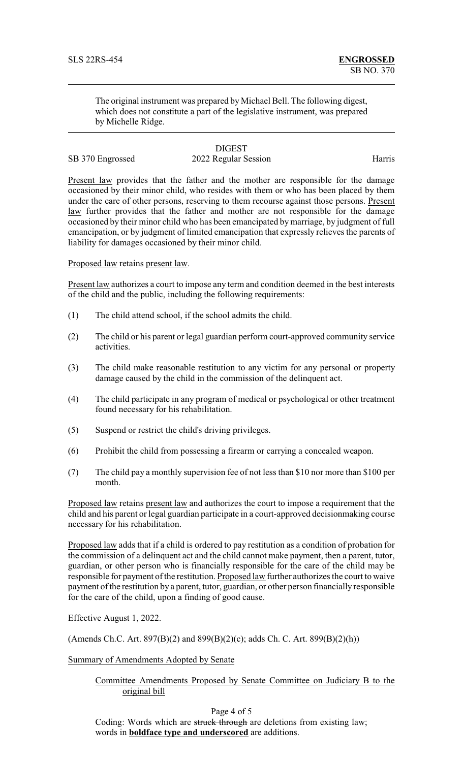The original instrument was prepared by Michael Bell. The following digest, which does not constitute a part of the legislative instrument, was prepared by Michelle Ridge.

### **DIGEST** SB 370 Engrossed 2022 Regular Session Harris

Present law provides that the father and the mother are responsible for the damage occasioned by their minor child, who resides with them or who has been placed by them under the care of other persons, reserving to them recourse against those persons. Present law further provides that the father and mother are not responsible for the damage occasioned by their minor child who has been emancipated by marriage, by judgment of full emancipation, or by judgment of limited emancipation that expressly relieves the parents of liability for damages occasioned by their minor child.

Proposed law retains present law.

Present law authorizes a court to impose any term and condition deemed in the best interests of the child and the public, including the following requirements:

- (1) The child attend school, if the school admits the child.
- (2) The child or his parent or legal guardian perform court-approved community service activities.
- (3) The child make reasonable restitution to any victim for any personal or property damage caused by the child in the commission of the delinquent act.
- (4) The child participate in any program of medical or psychological or other treatment found necessary for his rehabilitation.
- (5) Suspend or restrict the child's driving privileges.
- (6) Prohibit the child from possessing a firearm or carrying a concealed weapon.
- (7) The child pay a monthly supervision fee of not less than \$10 nor more than \$100 per month.

Proposed law retains present law and authorizes the court to impose a requirement that the child and his parent or legal guardian participate in a court-approved decisionmaking course necessary for his rehabilitation.

Proposed law adds that if a child is ordered to pay restitution as a condition of probation for the commission of a delinquent act and the child cannot make payment, then a parent, tutor, guardian, or other person who is financially responsible for the care of the child may be responsible for payment of the restitution. Proposed law further authorizes the court to waive payment of the restitution by a parent, tutor, guardian, or other person financially responsible for the care of the child, upon a finding of good cause.

Effective August 1, 2022.

(Amends Ch.C. Art. 897(B)(2) and 899(B)(2)(c); adds Ch. C. Art. 899(B)(2)(h))

Summary of Amendments Adopted by Senate

## Committee Amendments Proposed by Senate Committee on Judiciary B to the original bill

Page 4 of 5

Coding: Words which are struck through are deletions from existing law; words in **boldface type and underscored** are additions.